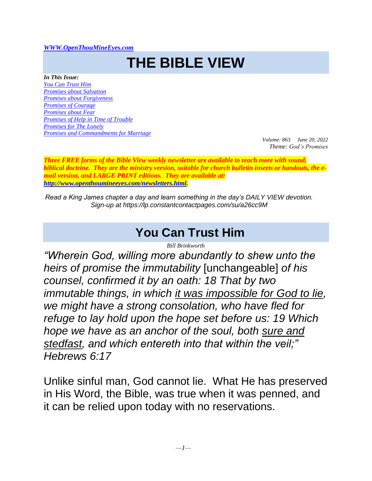#### *[WWW.OpenThouMineEyes.com](http://www.openthoumineeyes.com/)*

# **THE BIBLE VIEW**

*In This Issue:*

*[You Can Trust Him](#page-0-0) [Promises about Salvation](#page-1-0) [Promises about Forgiveness](#page-2-0) [Promises of Courage](#page-3-0) [Promises about Fear](#page-3-1) Promises of [Help in Time of Trouble](#page-4-0) [Promises for The Lonely](#page-5-0) [Promises and Commandments for Marriage](#page-5-1)*

*Volume: 863 June 20, 2022 Theme: God's Promises*

*Three FREE forms of the Bible View weekly newsletter are available to reach more with sound, biblical doctrine. They are the ministry version, suitable for church bulletin inserts or handouts, the email version, and LARGE PRINT editions. They are available at: [http://www.openthoumineeyes.com/newsletters.html.](http://www.openthoumineeyes.com/newsletters.html)* 

*Read a King James chapter a day and learn something in the day's DAILY VIEW devotion. Sign-up at https://lp.constantcontactpages.com/su/a26cc9M*

# **You Can Trust Him**

*Bill Brinkworth*

<span id="page-0-0"></span>*"Wherein God, willing more abundantly to shew unto the heirs of promise the immutability* [unchangeable] *of his counsel, confirmed it by an oath: 18 That by two immutable things, in which it was impossible for God to lie, we might have a strong consolation, who have fled for refuge to lay hold upon the hope set before us: 19 Which hope we have as an anchor of the soul, both sure and stedfast, and which entereth into that within the veil;" Hebrews 6:17*

Unlike sinful man, God cannot lie. What He has preserved in His Word, the Bible, was true when it was penned, and it can be relied upon today with no reservations.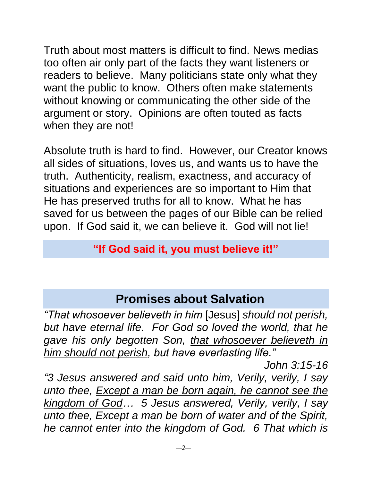Truth about most matters is difficult to find. News medias too often air only part of the facts they want listeners or readers to believe. Many politicians state only what they want the public to know. Others often make statements without knowing or communicating the other side of the argument or story. Opinions are often touted as facts when they are not!

Absolute truth is hard to find. However, our Creator knows all sides of situations, loves us, and wants us to have the truth. Authenticity, realism, exactness, and accuracy of situations and experiences are so important to Him that He has preserved truths for all to know. What he has saved for us between the pages of our Bible can be relied upon. If God said it, we can believe it. God will not lie!

#### **"If God said it, you must believe it!"**

# **Promises about Salvation**

<span id="page-1-0"></span>*"That whosoever believeth in him* [Jesus] *should not perish, but have eternal life. For God so loved the world, that he gave his only begotten Son, that whosoever believeth in him should not perish, but have everlasting life."* 

*John 3:15-16*

*"3 Jesus answered and said unto him, Verily, verily, I say unto thee, Except a man be born again, he cannot see the kingdom of God… 5 Jesus answered, Verily, verily, I say unto thee, Except a man be born of water and of the Spirit, he cannot enter into the kingdom of God. 6 That which is*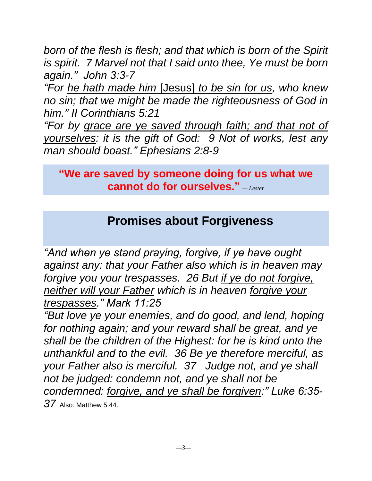*born of the flesh is flesh; and that which is born of the Spirit is spirit. 7 Marvel not that I said unto thee, Ye must be born again." John 3:3-7*

*"For he hath made him* [Jesus] *to be sin for us, who knew no sin; that we might be made the righteousness of God in him." II Corinthians 5:21*

*"For by grace are ye saved through faith; and that not of yourselves: it is the gift of God: 9 Not of works, lest any man should boast." Ephesians 2:8-9*

**"We are saved by someone doing for us what we cannot do for ourselves."** *— Lester*

# **Promises about Forgiveness**

<span id="page-2-0"></span>*"And when ye stand praying, forgive, if ye have ought against any: that your Father also which is in heaven may forgive you your trespasses. 26 But if ye do not forgive, neither will your Father which is in heaven forgive your trespasses." Mark 11:25*

*"But love ye your enemies, and do good, and lend, hoping for nothing again; and your reward shall be great, and ye shall be the children of the Highest: for he is kind unto the unthankful and to the evil. 36 Be ye therefore merciful, as your Father also is merciful. 37 Judge not, and ye shall not be judged: condemn not, and ye shall not be condemned: forgive, and ye shall be forgiven:" Luke 6:35- 37* Also: Matthew 5:44.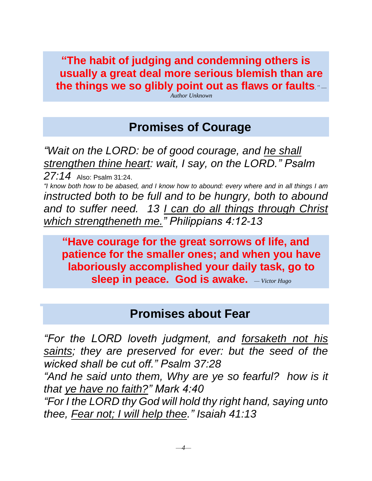**"The habit of judging and condemning others is usually a great deal more serious blemish than are the things we so glibly point out as flaws or faults***." —*

*Author Unknown*

### **Promises of Courage**

<span id="page-3-0"></span>*"Wait on the LORD: be of good courage, and he shall strengthen thine heart: wait, I say, on the LORD." Psalm 27:14* Also: Psalm 31:24. *"I know both how to be abased, and I know how to abound: every where and in all things I am instructed both to be full and to be hungry, both to abound and to suffer need. 13 I can do all things through Christ* 

*which strengtheneth me." Philippians 4:12-13* 

**"Have courage for the great sorrows of life, and patience for the smaller ones; and when you have laboriously accomplished your daily task, go to sleep in peace. God is awake.** *— Victor Hugo*

#### **Promises about Fear**

<span id="page-3-1"></span>*"For the LORD loveth judgment, and forsaketh not his saints; they are preserved for ever: but the seed of the wicked shall be cut off." Psalm 37:28*

*"And he said unto them, Why are ye so fearful? how is it that ye have no faith?" Mark 4:40*

*"For I the LORD thy God will hold thy right hand, saying unto thee, Fear not; I will help thee." Isaiah 41:13*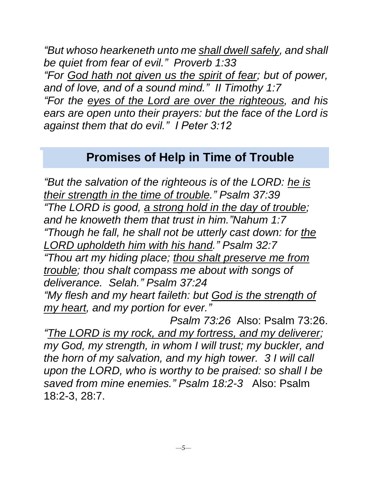*"But whoso hearkeneth unto me shall dwell safely, and shall be quiet from fear of evil." Proverb 1:33 "For God hath not given us the spirit of fear; but of power, and of love, and of a sound mind." II Timothy 1:7 "For the eyes of the Lord are over the righteous, and his ears are open unto their prayers: but the face of the Lord is against them that do evil." I Peter 3:12*

### **Promises of Help in Time of Trouble**

<span id="page-4-0"></span>*"But the salvation of the righteous is of the LORD: he is their strength in the time of trouble." Psalm 37:39 "The LORD is good, a strong hold in the day of trouble; and he knoweth them that trust in him."Nahum 1:7 "Though he fall, he shall not be utterly cast down: for the LORD upholdeth him with his hand." Psalm 32:7 "Thou art my hiding place; thou shalt preserve me from trouble; thou shalt compass me about with songs of deliverance. Selah." Psalm 37:24 "My flesh and my heart faileth: but God is the strength of my heart, and my portion for ever." Psalm 73:26* Also: Psalm 73:26.

*"The LORD is my rock, and my fortress, and my deliverer; my God, my strength, in whom I will trust; my buckler, and the horn of my salvation, and my high tower. 3 I will call upon the LORD, who is worthy to be praised: so shall I be saved from mine enemies." Psalm 18:2-3* Also: Psalm 18:2-3, 28:7.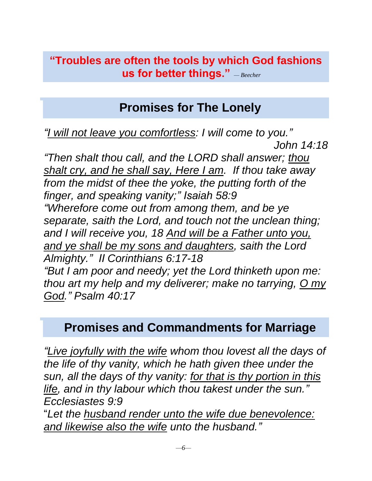**"Troubles are often the tools by which God fashions us for better things."** *— Beecher*

# **Promises for The Lonely**

*John 14:18*

<span id="page-5-0"></span>*"I will not leave you comfortless: I will come to you."* 

*"Then shalt thou call, and the LORD shall answer; thou shalt cry, and he shall say, Here I am. If thou take away from the midst of thee the yoke, the putting forth of the finger, and speaking vanity;" Isaiah 58:9 "Wherefore come out from among them, and be ye separate, saith the Lord, and touch not the unclean thing; and I will receive you, 18 And will be a Father unto you, and ye shall be my sons and daughters, saith the Lord Almighty." II Corinthians 6:17-18 "But I am poor and needy; yet the Lord thinketh upon me: thou art my help and my deliverer; make no tarrying, O my God." Psalm 40:17*

# <span id="page-5-1"></span>**Promises and Commandments for Marriage**

*"Live joyfully with the wife whom thou lovest all the days of the life of thy vanity, which he hath given thee under the sun, all the days of thy vanity: for that is thy portion in this life, and in thy labour which thou takest under the sun." Ecclesiastes 9:9*

"*Let the husband render unto the wife due benevolence: and likewise also the wife unto the husband."*